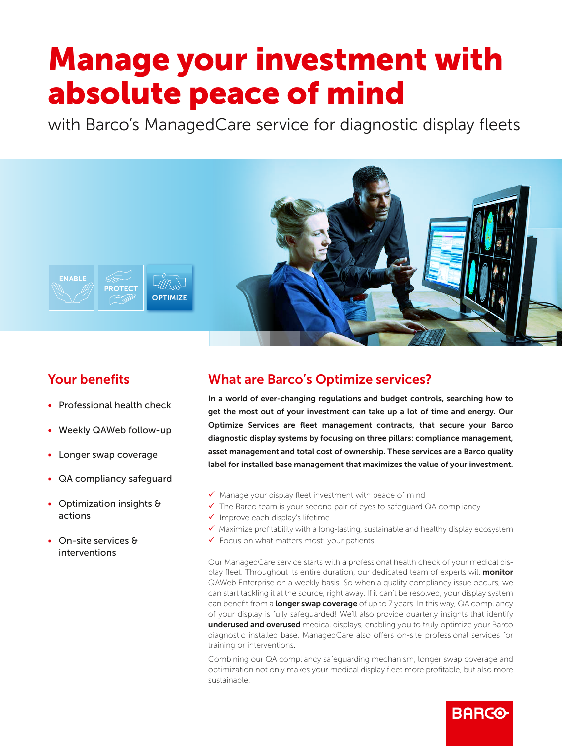# Manage your investment with absolute peace of mind

with Barco's ManagedCare service for diagnostic display fleets



# Your benefits

- Professional health check
- Weekly QAWeb follow-up
- Longer swap coverage
- QA compliancy safeguard
- Optimization insights & actions
- On-site services & interventions

# What are Barco's Optimize services?

In a world of ever-changing regulations and budget controls, searching how to get the most out of your investment can take up a lot of time and energy. Our Optimize Services are fleet management contracts, that secure your Barco diagnostic display systems by focusing on three pillars: compliance management, asset management and total cost of ownership. These services are a Barco quality label for installed base management that maximizes the value of your investment.

- $\checkmark$  Manage your display fleet investment with peace of mind
- $\checkmark$  The Barco team is your second pair of eyes to safeguard QA compliancy
- $\checkmark$  Improve each display's lifetime
- $\checkmark$  Maximize profitability with a long-lasting, sustainable and healthy display ecosystem
- $\checkmark$  Focus on what matters most: your patients

Our ManagedCare service starts with a professional health check of your medical display fleet. Throughout its entire duration, our dedicated team of experts will **monitor** QAWeb Enterprise on a weekly basis. So when a quality compliancy issue occurs, we can start tackling it at the source, right away. If it can't be resolved, your display system can benefit from a **longer swap coverage** of up to 7 years. In this way, QA compliancy of your display is fully safeguarded! We'll also provide quarterly insights that identify underused and overused medical displays, enabling you to truly optimize your Barco diagnostic installed base. ManagedCare also offers on-site professional services for training or interventions.

Combining our QA compliancy safeguarding mechanism, longer swap coverage and optimization not only makes your medical display fleet more profitable, but also more sustainable.